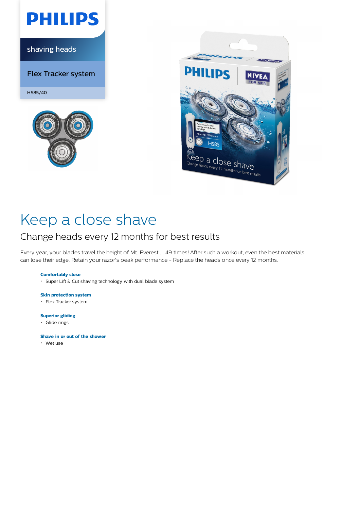

shaving heads

Flex Tracker system

HS85/40





# Keep a close shave

### Change heads every 12 months for best results

Every year, your blades travel the height of Mt. Everest ... 49 times! After such a workout, even the best materials can lose their edge. Retain your razor's peak performance - Replace the heads once every 12 months.

### **Comfortably close**

Super Lift & Cut shaving technology with dual blade system

#### **Skin protection system**

Flex Tracker system

#### **Superior gliding**

Glide rings

#### **Shave in or out of the shower**

Wet use